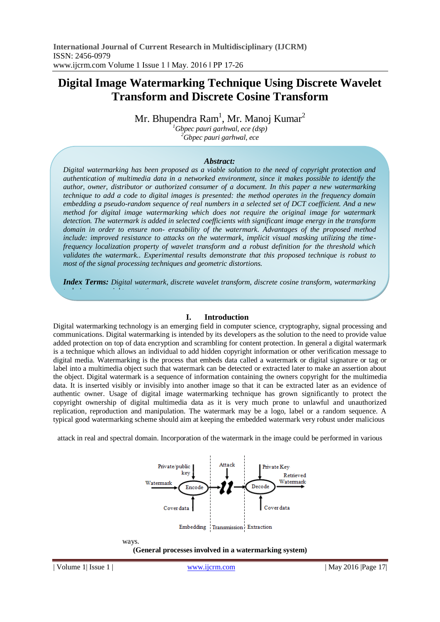# **Digital Image Watermarking Technique Using Discrete Wavelet Transform and Discrete Cosine Transform**

Mr. Bhupendra Ram $^1$ , Mr. Manoj Kumar $^2$ 

*<sup>1</sup>Gbpec pauri garhwal, ece (dsp) <sup>2</sup>Gbpec pauri garhwal, ece*

#### *Abstract:*

*Digital watermarking has been proposed as a viable solution to the need of copyright protection and authentication of multimedia data in a networked environment, since it makes possible to identify the author, owner, distributor or authorized consumer of a document. In this paper a new watermarking technique to add a code to digital images is presented: the method operates in the frequency domain embedding a pseudo-random sequence of real numbers in a selected set of DCT coefficient. And a new method for digital image watermarking which does not require the original image for watermark detection. The watermark is added in selected coefficients with significant image energy in the transform domain in order to ensure non- erasability of the watermark. Advantages of the proposed method include: improved resistance to attacks on the watermark, implicit visual masking utilizing the timefrequency localization property of wavelet transform and a robust definition for the threshold which validates the watermark.. Experimental results demonstrate that this proposed technique is robust to most of the signal processing techniques and geometric distortions.*

*Index Terms: Digital watermark, discrete wavelet transform, discrete cosine transform, watermarking technique, copyright protection.*

### **I. Introduction**

Digital watermarking technology is an emerging field in computer science, cryptography, signal processing and communications. Digital watermarking is intended by its developers as the solution to the need to provide value added protection on top of data encryption and scrambling for content protection. In general a digital watermark is a technique which allows an individual to add hidden copyright information or other verification message to digital media. Watermarking is the process that embeds data called a watermark or digital signature or tag or label into a multimedia object such that watermark can be detected or extracted later to make an assertion about the object. Digital watermark is a sequence of information containing the owners copyright for the multimedia data. It is inserted visibly or invisibly into another image so that it can be extracted later as an evidence of authentic owner. Usage of digital image watermarking technique has grown significantly to protect the copyright ownership of digital multimedia data as it is very much prone to unlawful and unauthorized replication, reproduction and manipulation. The watermark may be a logo, label or a random sequence. A typical good watermarking scheme should aim at keeping the embedded watermark very robust under malicious

attack in real and spectral domain. Incorporation of the watermark in the image could be performed in various

Private/public Private Key key Retrieved Watermark Watermark Decode Encode Coverdata Coverdata Embedding Transmission Extraction

ways.

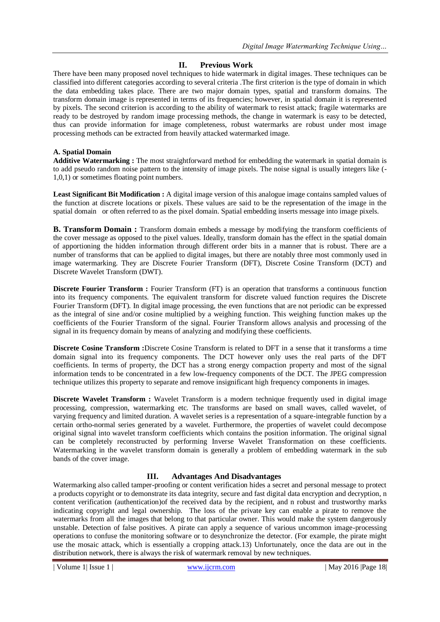#### **II. Previous Work**

There have been many proposed novel techniques to hide watermark in digital images. These techniques can be classified into different categories according to several criteria .The first criterion is the type of domain in which the data embedding takes place. There are two major domain types, spatial and transform domains. The transform domain image is represented in terms of its frequencies; however, in spatial domain it is represented by pixels. The second criterion is according to the ability of watermark to resist attack; fragile watermarks are ready to be destroyed by random image processing methods, the change in watermark is easy to be detected, thus can provide information for image completeness, robust watermarks are robust under most image processing methods can be extracted from heavily attacked watermarked image.

#### **A. Spatial Domain**

**Additive Watermarking :** The most straightforward method for embedding the watermark in spatial domain is to add pseudo random noise pattern to the intensity of image pixels. The noise signal is usually integers like (- 1,0,1) or sometimes floating point numbers.

**Least Significant Bit Modification :** A digital image version of this analogue image contains sampled values of the function at discrete locations or pixels. These values are said to be the representation of the image in the spatial domain or often referred to as the pixel domain. Spatial embedding inserts message into image pixels.

**B. Transform Domain :** Transform domain embeds a message by modifying the transform coefficients of the cover message as opposed to the pixel values. Ideally, transform domain has the effect in the spatial domain of apportioning the hidden information through different order bits in a manner that is robust. There are a number of transforms that can be applied to digital images, but there are notably three most commonly used in image watermarking. They are Discrete Fourier Transform (DFT), Discrete Cosine Transform (DCT) and Discrete Wavelet Transform (DWT).

**Discrete Fourier Transform :** Fourier Transform (FT) is an operation that transforms a continuous function into its frequency components. The equivalent transform for discrete valued function requires the Discrete Fourier Transform (DFT). In digital image processing, the even functions that are not periodic can be expressed as the integral of sine and/or cosine multiplied by a weighing function. This weighing function makes up the coefficients of the Fourier Transform of the signal. Fourier Transform allows analysis and processing of the signal in its frequency domain by means of analyzing and modifying these coefficients.

**Discrete Cosine Transform :**Discrete Cosine Transform is related to DFT in a sense that it transforms a time domain signal into its frequency components. The DCT however only uses the real parts of the DFT coefficients. In terms of property, the DCT has a strong energy compaction property and most of the signal information tends to be concentrated in a few low-frequency components of the DCT. The JPEG compression technique utilizes this property to separate and remove insignificant high frequency components in images.

**Discrete Wavelet Transform :** Wavelet Transform is a modern technique frequently used in digital image processing, compression, watermarking etc. The transforms are based on small waves, called wavelet, of varying frequency and limited duration. A wavelet series is a representation of a square-integrable function by a certain ortho-normal series generated by a wavelet. Furthermore, the properties of wavelet could decompose original signal into wavelet transform coefficients which contains the position information. The original signal can be completely reconstructed by performing Inverse Wavelet Transformation on these coefficients. Watermarking in the wavelet transform domain is generally a problem of embedding watermark in the sub bands of the cover image.

#### **III. Advantages And Disadvantages**

Watermarking also called tamper-proofing or content verification hides a secret and personal message to protect a products copyright or to demonstrate its data integrity, secure and fast digital data encryption and decryption, n content verification (authentication)of the received data by the recipient, and n robust and trustworthy marks indicating copyright and legal ownership. The loss of the private key can enable a pirate to remove the watermarks from all the images that belong to that particular owner. This would make the system dangerously unstable. Detection of false positives. A pirate can apply a sequence of various uncommon image-processing operations to confuse the monitoring software or to desynchronize the detector. (For example, the pirate might use the mosaic attack, which is essentially a cropping attack.13) Unfortunately, once the data are out in the distribution network, there is always the risk of watermark removal by new techniques.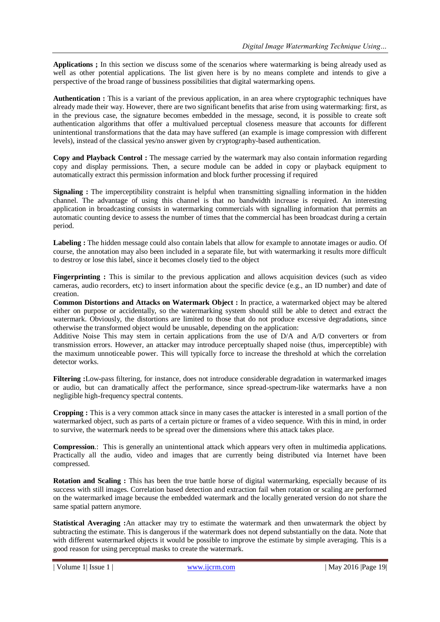**Applications ;** In this section we discuss some of the scenarios where watermarking is being already used as well as other potential applications. The list given here is by no means complete and intends to give a perspective of the broad range of bussiness possibilities that digital watermarking opens.

**Authentication :** This is a variant of the previous application, in an area where cryptographic techniques have already made their way. However, there are two significant benefits that arise from using watermarking: first, as in the previous case, the signature becomes embedded in the message, second, it is possible to create soft authentication algorithms that offer a multivalued perceptual closeness measure that accounts for different unintentional transformations that the data may have suffered (an example is image compression with different levels), instead of the classical yes/no answer given by cryptography-based authentication.

**Copy and Playback Control :** The message carried by the watermark may also contain information regarding copy and display permissions. Then, a secure module can be added in copy or playback equipment to automatically extract this permission information and block further processing if required

**Signaling :** The imperceptibility constraint is helpful when transmitting signalling information in the hidden channel. The advantage of using this channel is that no bandwidth increase is required. An interesting application in broadcasting consists in watermarking commercials with signalling information that permits an automatic counting device to assess the number of times that the commercial has been broadcast during a certain period.

**Labeling :** The hidden message could also contain labels that allow for example to annotate images or audio. Of course, the annotation may also been included in a separate file, but with watermarking it results more difficult to destroy or lose this label, since it becomes closely tied to the object

**Fingerprinting :** This is similar to the previous application and allows acquisition devices (such as video cameras, audio recorders, etc) to insert information about the specific device (e.g., an ID number) and date of creation.

**Common Distortions and Attacks on Watermark Object :** In practice, a watermarked object may be altered either on purpose or accidentally, so the watermarking system should still be able to detect and extract the watermark. Obviously, the distortions are limited to those that do not produce excessive degradations, since otherwise the transformed object would be unusable, depending on the application:

Additive Noise This may stem in certain applications from the use of D/A and A/D converters or from transmission errors. However, an attacker may introduce perceptually shaped noise (thus, imperceptible) with the maximum unnoticeable power. This will typically force to increase the threshold at which the correlation detector works.

**Filtering :**Low-pass filtering, for instance, does not introduce considerable degradation in watermarked images or audio, but can dramatically affect the performance, since spread-spectrum-like watermarks have a non negligible high-frequency spectral contents.

**Cropping :** This is a very common attack since in many cases the attacker is interested in a small portion of the watermarked object, such as parts of a certain picture or frames of a video sequence. With this in mind, in order to survive, the watermark needs to be spread over the dimensions where this attack takes place.

**Compression**.: This is generally an unintentional attack which appears very often in multimedia applications. Practically all the audio, video and images that are currently being distributed via Internet have been compressed.

**Rotation and Scaling :** This has been the true battle horse of digital watermarking, especially because of its success with still images. Correlation based detection and extraction fail when rotation or scaling are performed on the watermarked image because the embedded watermark and the locally generated version do not share the same spatial pattern anymore.

**Statistical Averaging :**An attacker may try to estimate the watermark and then unwatermark the object by subtracting the estimate. This is dangerous if the watermark does not depend substantially on the data. Note that with different watermarked objects it would be possible to improve the estimate by simple averaging. This is a good reason for using perceptual masks to create the watermark.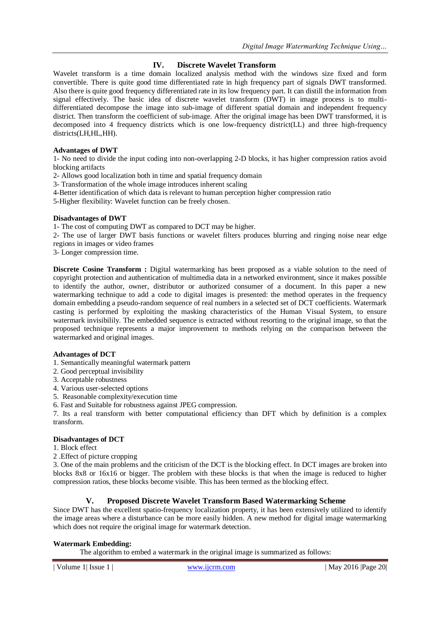## **IV. Discrete Wavelet Transform**

Wavelet transform is a time domain localized analysis method with the windows size fixed and form convertible. There is quite good time differentiated rate in high frequency part of signals DWT transformed. Also there is quite good frequency differentiated rate in its low frequency part. It can distill the information from signal effectively. The basic idea of discrete wavelet transform (DWT) in image process is to multidifferentiated decompose the image into sub-image of different spatial domain and independent frequency district. Then transform the coefficient of sub-image. After the original image has been DWT transformed, it is decomposed into 4 frequency districts which is one low-frequency district(LL) and three high-frequency districts(LH,HL,HH).

#### **Advantages of DWT**

1- No need to divide the input coding into non-overlapping 2-D blocks, it has higher compression ratios avoid blocking artifacts

2- Allows good localization both in time and spatial frequency domain

3- Transformation of the whole image introduces inherent scaling

4-Better identification of which data is relevant to human perception higher compression ratio

5-Higher flexibility: Wavelet function can be freely chosen.

#### **Disadvantages of DWT**

1- The cost of computing DWT as compared to DCT may be higher.

2- The use of larger DWT basis functions or wavelet filters produces blurring and ringing noise near edge regions in images or video frames

3- Longer compression time.

**Discrete Cosine Transform :** Digital watermarking has been proposed as a viable solution to the need of copyright protection and authentication of multimedia data in a networked environment, since it makes possible to identify the author, owner, distributor or authorized consumer of a document. In this paper a new watermarking technique to add a code to digital images is presented: the method operates in the frequency domain embedding a pseudo-random sequence of real numbers in a selected set of DCT coefficients. Watermark casting is performed by exploiting the masking characteristics of the Human Visual System, to ensure watermark invisibilily. The embedded sequence is extracted without resorting to the original image, so that the proposed technique represents a major improvement to methods relying on the comparison between the watermarked and original images.

#### **Advantages of DCT**

- 1. Semantically meaningful watermark pattern
- 2. Good perceptual invisibility
- 3. Acceptable robustness
- 4. Various user-selected options
- 5. Reasonable complexity/execution time

6. Fast and Suitable for robustness against JPEG compression.

7. Its a real transform with better computational efficiency than DFT which by definition is a complex transform.

#### **Disadvantages of DCT**

1. Block effect

2 .Effect of picture cropping

3. One of the main problems and the criticism of the DCT is the blocking effect. In DCT images are broken into blocks 8x8 or 16x16 or bigger. The problem with these blocks is that when the image is reduced to higher compression ratios, these blocks become visible. This has been termed as the blocking effect.

#### **V. Proposed Discrete Wavelet Transform Based Watermarking Scheme**

Since DWT has the excellent spatio-frequency localization property, it has been extensively utilized to identify the image areas where a disturbance can be more easily hidden. A new method for digital image watermarking which does not require the original image for watermark detection.

#### **Watermark Embedding:**

The algorithm to embed a watermark in the original image is summarized as follows:

| Volume 1| Issue 1 | www.ijcrm.com | May 2016 |Page 20|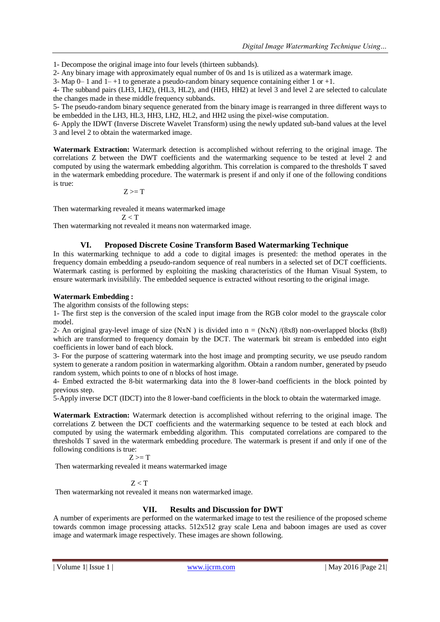1- Decompose the original image into four levels (thirteen subbands).

2- Any binary image with approximately equal number of 0s and 1s is utilized as a watermark image.

3- Map  $0-1$  and  $1-1$  to generate a pseudo-random binary sequence containing either 1 or  $+1$ .

4- The subband pairs (LH3, LH2), (HL3, HL2), and (HH3, HH2) at level 3 and level 2 are selected to calculate the changes made in these middle frequency subbands.

5- The pseudo-random binary sequence generated from the binary image is rearranged in three different ways to be embedded in the LH3, HL3, HH3, LH2, HL2, and HH2 using the pixel-wise computation.

6- Apply the IDWT (Inverse Discrete Wavelet Transform) using the newly updated sub-band values at the level 3 and level 2 to obtain the watermarked image.

**Watermark Extraction:** Watermark detection is accomplished without referring to the original image. The correlations Z between the DWT coefficients and the watermarking sequence to be tested at level 2 and computed by using the watermark embedding algorithm. This correlation is compared to the thresholds T saved in the watermark embedding procedure. The watermark is present if and only if one of the following conditions is true:

 $Z \geq T$ 

Then watermarking revealed it means watermarked image

 $Z < T$ 

Then watermarking not revealed it means non watermarked image.

#### **VI. Proposed Discrete Cosine Transform Based Watermarking Technique**

In this watermarking technique to add a code to digital images is presented: the method operates in the frequency domain embedding a pseudo-random sequence of real numbers in a selected set of DCT coefficients. Watermark casting is performed by exploiting the masking characteristics of the Human Visual System, to ensure watermark invisibilily. The embedded sequence is extracted without resorting to the original image.

#### **Watermark Embedding :**

The algorithm consists of the following steps:

1- The first step is the conversion of the scaled input image from the RGB color model to the grayscale color model.

2- An original gray-level image of size (NxN) is divided into  $n = (NxN)/(8x8)$  non-overlapped blocks (8x8) which are transformed to frequency domain by the DCT. The watermark bit stream is embedded into eight coefficients in lower band of each block.

3- For the purpose of scattering watermark into the host image and prompting security, we use pseudo random system to generate a random position in watermarking algorithm. Obtain a random number, generated by pseudo random system, which points to one of n blocks of host image.

4- Embed extracted the 8-bit watermarking data into the 8 lower-band coefficients in the block pointed by previous step.

5-Apply inverse DCT (IDCT) into the 8 lower-band coefficients in the block to obtain the watermarked image.

**Watermark Extraction:** Watermark detection is accomplished without referring to the original image. The correlations Z between the DCT coefficients and the watermarking sequence to be tested at each block and computed by using the watermark embedding algorithm. This computated correlations are compared to the thresholds T saved in the watermark embedding procedure. The watermark is present if and only if one of the following conditions is true:

#### $Z \geq T$

Then watermarking revealed it means watermarked image

#### $7 < T$

Then watermarking not revealed it means non watermarked image.

#### **VII. Results and Discussion for DWT**

A number of experiments are performed on the watermarked image to test the resilience of the proposed scheme towards common image processing attacks. 512x512 gray scale Lena and baboon images are used as cover image and watermark image respectively. These images are shown following.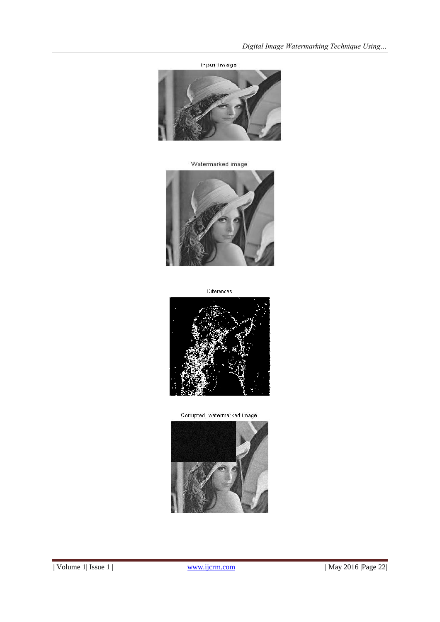Input image



Watermarked image



Differences



Corrupted, watermarked image

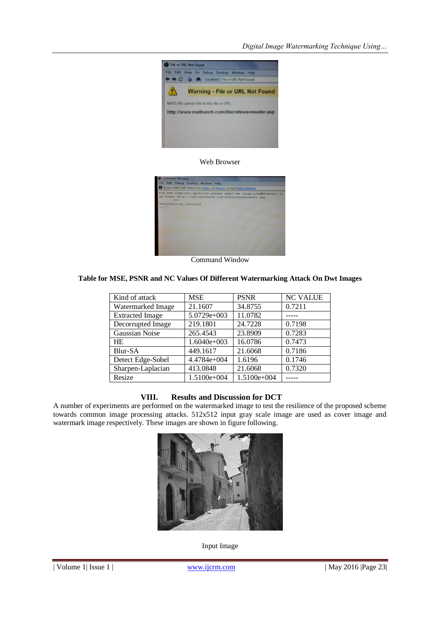

Web Browser



Command Window

#### **Table for MSE, PSNR and NC Values Of Different Watermarking Attack On Dwt Images**

| Kind of attack         | <b>MSE</b>  | <b>PSNR</b> | <b>NC VALUE</b> |
|------------------------|-------------|-------------|-----------------|
| Watermarked Image      | 21.1607     | 34.8755     | 0.7211          |
| <b>Extracted Image</b> | 5.0729e+003 | 11.0782     |                 |
| Decorrupted Image      | 219.1801    | 24.7228     | 0.7198          |
| Gaussian Noise         | 265.4543    | 23.8909     | 0.7283          |
| HE                     | 1.6040e+003 | 16.0786     | 0.7473          |
| Blur-SA                | 449.1617    | 21.6068     | 0.7186          |
| Detect Edge-Sobel      | 4.4784e+004 | 1.6196      | 0.1746          |
| Sharpen-Laplacian      | 413.0848    | 21.6068     | 0.7320          |
| Resize                 | 1.5100e+004 | 1.5100e+004 |                 |

#### **VIII. Results and Discussion for DCT**

A number of experiments are performed on the watermarked image to test the resilience of the proposed scheme towards common image processing attacks. 512x512 input gray scale image are used as cover image and watermark image respectively. These images are shown in figure following.



Input Image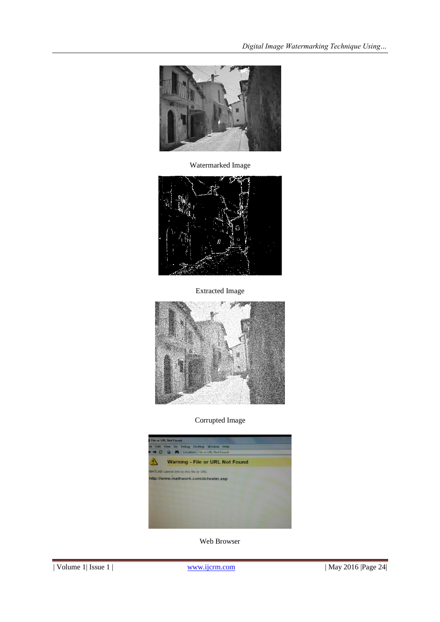

Watermarked Image



Extracted Image



# Corrupted Image



Web Browser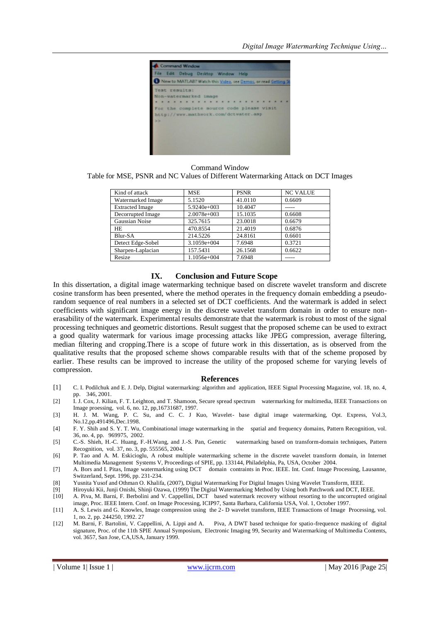

Command Window Table for MSE, PSNR and NC Values of Different Watermarking Attack on DCT Images

| Kind of attack         | MSE.        | <b>PSNR</b> | <b>NC VALUE</b> |
|------------------------|-------------|-------------|-----------------|
| Watermarked Image      | 5.1520      | 41.0110     | 0.6609          |
| <b>Extracted Image</b> | 5.9240e+003 | 10.4047     |                 |
| Decorrupted Image      | 2.0078e+003 | 15.1035     | 0.6608          |
| Gaussian Noise         | 325.7615    | 23.0018     | 0.6679          |
| <b>HE</b>              | 470.8554    | 21.4019     | 0.6876          |
| Blur-SA                | 214.5226    | 24.8161     | 0.6601          |
| Detect Edge-Sobel      | 3.1059e+004 | 7.6948      | 0.3721          |
| Sharpen-Laplacian      | 157.5431    | 26.1568     | 0.6622          |
| Resize                 | 1.1056e+004 | 7.6948      |                 |

#### **IX. Conclusion and Future Scope**

In this dissertation, a digital image watermarking technique based on discrete wavelet transform and discrete cosine transform has been presented, where the method operates in the frequency domain embedding a pseudorandom sequence of real numbers in a selected set of DCT coefficients. And the watermark is added in select coefficients with significant image energy in the discrete wavelet transform domain in order to ensure nonerasability of the watermark. Experimental results demonstrate that the watermark is robust to most of the signal processing techniques and geometric distortions. Result suggest that the proposed scheme can be used to extract a good quality watermark for various image processing attacks like JPEG compression, average filtering, median filtering and cropping.There is a scope of future work in this dissertation, as is observed from the qualitative results that the proposed scheme shows comparable results with that of the scheme proposed by earlier. These results can be improved to increase the utility of the proposed scheme for varying levels of compression.

#### **References**

- [1] C. I. Podilchuk and E. J. Delp, Digital watermarking: algorithm and application, IEEE Signal Processing Magazine, vol. 18, no. 4, pp. 346, 2001.
- [2] I. J. Cox, J. Kilian, F. T. Leighton, and T. Shamoon, Secure spread spectrum watermarking for multimedia, IEEE Transactions on Image proessing, vol. 6, no. 12, pp,16731687, 1997.
- [3] H. J. M. Wang, P. C. Su, and C. C. J Kuo, Wavelet- base digital image watermarking, Opt. Express, Vol.3, No.12,pp.491496,Dec.1998.
- [4] F. Y. Shih and S. Y. T. Wu, Combinational image watermarking in the spatial and frequency domains, Pattern Recognition, vol. 36, no. 4, pp. 969975, 2002.
- [5] C.-S. Shieh, H.-C. Huang, F.-H.Wang, and J.-S. Pan, Genetic watermarking based on transform-domain techniques, Pattern Recognition, vol. 37, no. 3, pp. 555565, 2004.
- [6] P. Tao and A. M. Eskicioglu, A robust multiple watermarking scheme in the discrete wavelet transform domain, in Internet Multimedia Management Systems V, Proceedings of SPIE, pp. 133144, Philadelphia, Pa, USA, October 2004.
- [7] A. Bors and I. Pitas, Image watermarking using DCT domain contraints in Proc. IEEE. Int. Conf. Image Processing, Lausanne, Switzerland, Sept. 1996, pp. 231-234.
- [8] Yusnita Yusof and Othman O. Khalifa, (2007), Digital Watermarking For Digital Images Using Wavelet Transform, IEEE.
- [9] Hiroyuki Kii, Junji Onishi, Shinji Ozawa, (1999) The Digital Watermarking Method by Using both Patchwork and DCT, IEEE. [10] A. Piva, M. Barni, F. Berbolini and V. Cappellini, DCT based watermark recovery without resorting to the uncorrupted original
- image, Proc. IEEE Intern. Conf. on Image Processing, ICIP97, Santa Barbara, California USA, Vol. 1, October 1997. [11] A. S. Lewis and G. Knowles, Image compression using the 2- D wavelet transform, IEEE Transactions of Image Processing, vol.
- 1, no. 2, pp. 244250, 1992. 27
- [12] M. Barni, F. Bartolini, V. Cappellini, A. Lippi and A. Piva, A DWT based technique for spatio-frequence masking of digital signature, Proc. of the 11th SPIE Annual Symposium, Electronic Imaging 99, Security and Watermarking of Multimedia Contents, vol. 3657, San Jose, CA,USA, January 1999.